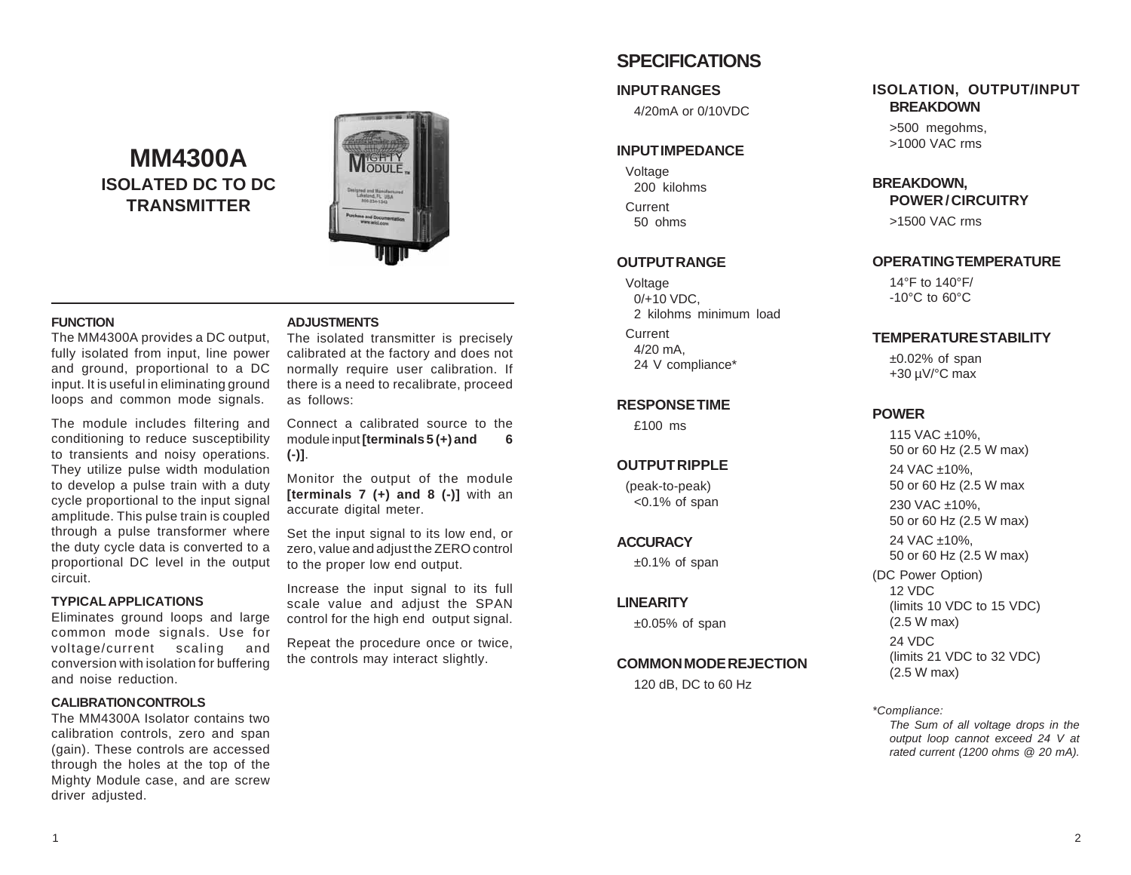# **MM4300A ISOLATED DC TO DC TRANSMITTER**



#### **FUNCTION**

The MM4300A provides a DC output, fully isolated from input, line power and ground, proportional to a DC input. It is useful in eliminating ground loops and common mode signals.

The module includes filtering and conditioning to reduce susceptibility to transients and noisy operations. They utilize pulse width modulation to develop a pulse train with a duty cycle proportional to the input signal amplitude. This pulse train is coupled through a pulse transformer where the duty cycle data is converted to a proportional DC level in the output circuit.

#### **TYPICAL APPLICATIONS**

Eliminates ground loops and large common mode signals. Use for voltage/current scaling and conversion with isolation for buffering and noise reduction.

#### **CALIBRATION CONTROLS**

The MM4300A Isolator contains two calibration controls, zero and span (gain). These controls are accessed through the holes at the top of the Mighty Module case, and are screw driver adjusted.

#### **ADJUSTMENTS**

The isolated transmitter is precisely calibrated at the factory and does not normally require user calibration. If there is a need to recalibrate, proceed as follows:

Connect a calibrated source to the module input **[terminals 5 (+) and 6 (-)]**.

Monitor the output of the module **[terminals 7 (+) and 8 (-)]** with an accurate digital meter.

Set the input signal to its low end, or zero, value and adjust the ZERO control to the proper low end output.

Increase the input signal to its full scale value and adjust the SPAN control for the high end output signal.

Repeat the procedure once or twice, the controls may interact slightly.

# **SPECIFICATIONS**

#### **INPUT RANGES**

4/20mA or 0/10VDC

### **INPUT IMPEDANCE**

Voltage 200 kilohms Current 50 ohms

## **OUTPUT RANGE**

Voltage 0/+10 VDC, 2 kilohms minimum load

Current 4/20 mA, 24 V compliance\*

## **RESPONSE TIME**

£100 ms

## **OUTPUT RIPPLE**

(peak-to-peak) <0.1% of span

### **ACCURACY**

 $±0.1\%$  of span

## **LINEARITY**

 $±0.05%$  of span

## **COMMON MODE REJECTION**

120 dB, DC to 60 Hz

## **ISOLATION, OUTPUT/INPUT BREAKDOWN**

>500 megohms, >1000 VAC rms

## **BREAKDOWN,**

**POWER / CIRCUITRY**

>1500 VAC rms

## **OPERATING TEMPERATURE**

14°F to 140°F/ -10°C to 60°C

## **TEMPERATURE STABILITY**

 $±0.02%$  of span +30 µV/°C max

## **POWER**

115 VAC ±10%, 50 or 60 Hz (2.5 W max)

24 VAC ±10%, 50 or 60 Hz (2.5 W max

230 VAC ±10%, 50 or 60 Hz (2.5 W max)

24 VAC ±10%, 50 or 60 Hz (2.5 W max)

(DC Power Option) 12 VDC (limits 10 VDC to 15 VDC) (2.5 W max) 24 VDC

(limits 21 VDC to 32 VDC) (2.5 W max)

*\*Compliance:*

*The Sum of all voltage drops in the output loop cannot exceed 24 V at rated current (1200 ohms @ 20 mA).*